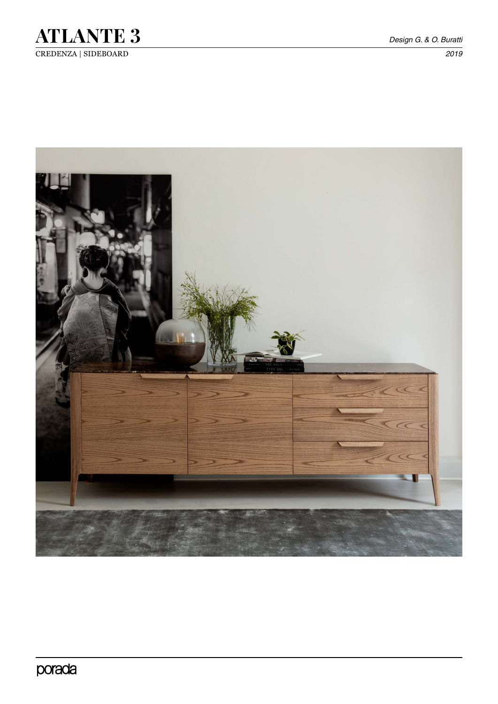

CREDENZA | SIDEBOARD *2019*



porada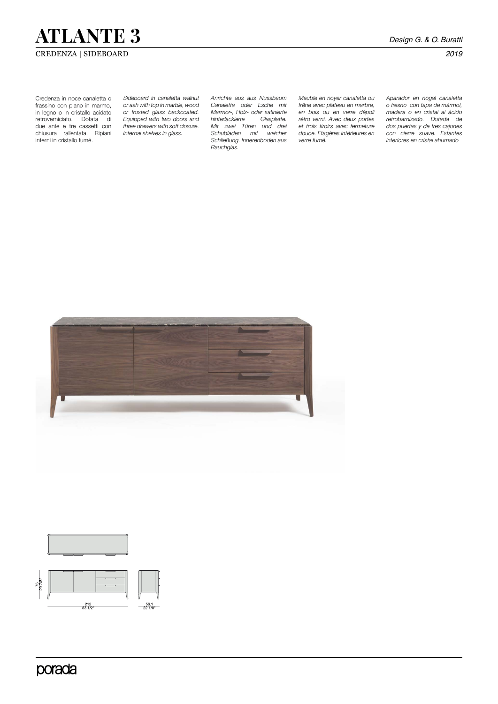# **ATLANTE 3** *Design G. & O. Buratti*

# CREDENZA | SIDEBOARD *2019*

Credenza in noce canaletta o frassino con piano in marmo, in legno o in cristallo acidato retroverniciato. Dotata di due ante e tre cassetti con chiusura rallentata. Ripiani interni in cristallo fumé.

*Sideboard in canaletta walnut or ash with top in marble, wood or frosted glass backcoated. Equipped with two doors and three drawers with soft closure. Internal shelves in glass.*

*Anrichte aus aus Nussbaum Canaletta oder Esche mit Marmor-, Holz- oder satinierte*   $h$ *interlackierte Mit zwei Türen und drei Schubladen mit weicher Schließung. Innerenboden aus Rauchglas.* 

*Meuble en noyer canaletta ou frêne avec plateau en marbre, en bois ou en verre dépoli rétro verni. Avec deux portes et trois tiroirs avec fermeture douce. Etagères intérieures en verre fumé.* 

*Aparador en nogal canaletta o fresno con tapa de mármol, madera o en cristal al ácido retrobarnizado. Dotada de dos puertas y de tres cajones con cierre suave. Estantes interiores en cristal ahumado*



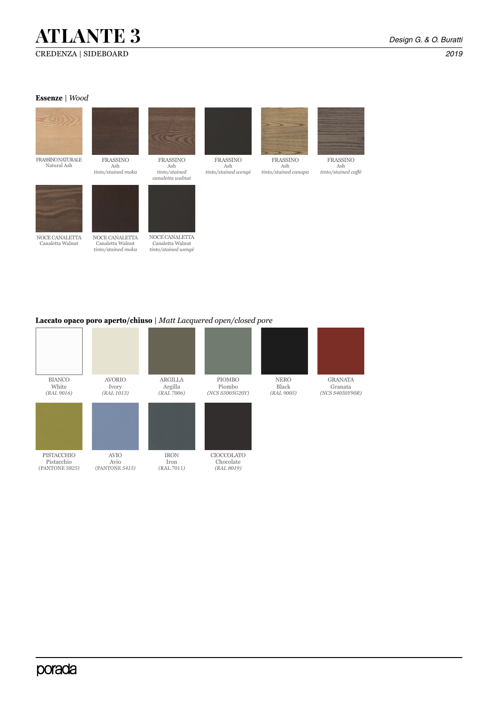# **ATLANTE 3** *Design G. & O. Buratti*

#### **Essenze** | *Wood*



### **Laccato opaco poro aperto/chiuso** | *Matt Lacquered open/closed pore*